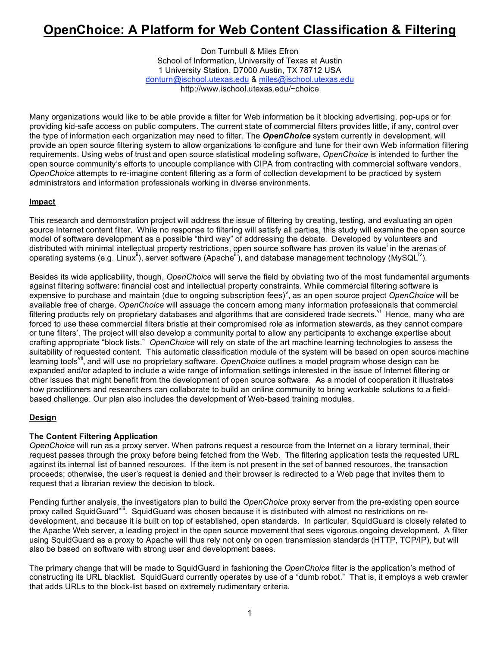# **OpenChoice: A Platform for Web Content Classification & Filtering**

Don Turnbull & Miles Efron School of Information, University of Texas at Austin 1 University Station, D7000 Austin, TX 78712 USA donturn@ischool.utexas.edu & miles@ischool.utexas.edu http://www.ischool.utexas.edu/~choice

Many organizations would like to be able provide a filter for Web information be it blocking advertising, pop-ups or for providing kid-safe access on public computers. The current state of commercial filters provides little, if any, control over the type of information each organization may need to filter. The *OpenChoice* system currently in development, will provide an open source filtering system to allow organizations to configure and tune for their own Web information filtering requirements. Using webs of trust and open source statistical modeling software, *OpenChoice* is intended to further the open source community's efforts to uncouple compliance with CIPA from contracting with commercial software vendors. *OpenChoice* attempts to re-imagine content filtering as a form of collection development to be practiced by system administrators and information professionals working in diverse environments.

## **Impact**

This research and demonstration project will address the issue of filtering by creating, testing, and evaluating an open source Internet content filter. While no response to filtering will satisfy all parties, this study will examine the open source model of software development as a possible "third way" of addressing the debate. Developed by volunteers and distributed with minimal intellectual property restrictions, open source software has proven its value<sup>i</sup> in the arenas of operating systems (e.g. Linux<sup>ii</sup>), server software (Apache<sup>iii</sup>), and database management technology (MySQL<sup>iv</sup>).

Besides its wide applicability, though, *OpenChoice* will serve the field by obviating two of the most fundamental arguments against filtering software: financial cost and intellectual property constraints. While commercial filtering software is expensive to purchase and maintain (due to ongoing subscription fees)<sup>v</sup>, as an open source project *OpenChoice* will be available free of charge. *OpenChoice* will assuage the concern among many information professionals that commercial filtering products rely on proprietary databases and algorithms that are considered trade secrets. <sup>vi</sup> Hence, many who are forced to use these commercial filters bristle at their compromised role as information stewards, as they cannot compare or tune filters'. The project will also develop a community portal to allow any participants to exchange expertise about crafting appropriate "block lists." *OpenChoice* will rely on state of the art machine learning technologies to assess the suitability of requested content. This automatic classification module of the system will be based on open source machine learning tools<sup>vii</sup>, and will use no proprietary software. *OpenChoice* outlines a model program whose design can be expanded and/or adapted to include a wide range of information settings interested in the issue of Internet filtering or other issues that might benefit from the development of open source software. As a model of cooperation it illustrates how practitioners and researchers can collaborate to build an online community to bring workable solutions to a fieldbased challenge. Our plan also includes the development of Web-based training modules.

## **Design**

## **The Content Filtering Application**

*OpenChoice* will run as a proxy server. When patrons request a resource from the Internet on a library terminal, their request passes through the proxy before being fetched from the Web. The filtering application tests the requested URL against its internal list of banned resources. If the item is not present in the set of banned resources, the transaction proceeds; otherwise, the user's request is denied and their browser is redirected to a Web page that invites them to request that a librarian review the decision to block.

Pending further analysis, the investigators plan to build the *OpenChoice* proxy server from the pre-existing open source proxy called SquidGuard<sup>viii</sup>. SquidGuard was chosen because it is distributed with almost no restrictions on redevelopment, and because it is built on top of established, open standards. In particular, SquidGuard is closely related to the Apache Web server, a leading project in the open source movement that sees vigorous ongoing development. A filter using SquidGuard as a proxy to Apache will thus rely not only on open transmission standards (HTTP, TCP/IP), but will also be based on software with strong user and development bases.

The primary change that will be made to SquidGuard in fashioning the *OpenChoice* filter is the application's method of constructing its URL blacklist. SquidGuard currently operates by use of a "dumb robot." That is, it employs a web crawler that adds URLs to the block-list based on extremely rudimentary criteria.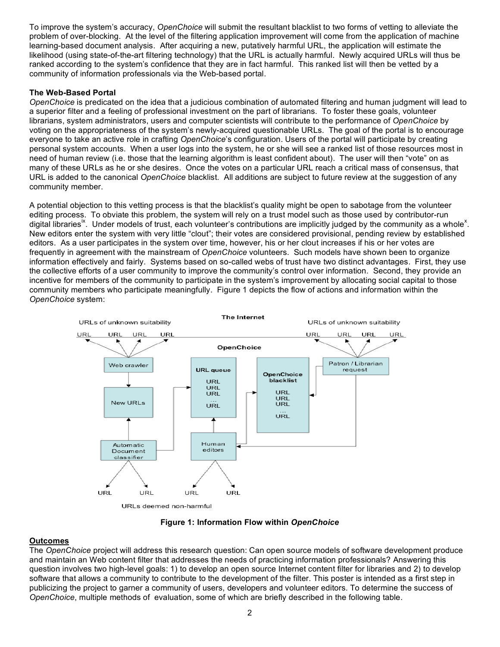To improve the system's accuracy, *OpenChoice* will submit the resultant blacklist to two forms of vetting to alleviate the problem of over-blocking. At the level of the filtering application improvement will come from the application of machine learning-based document analysis. After acquiring a new, putatively harmful URL, the application will estimate the likelihood (using state-of-the-art filtering technology) that the URL is actually harmful. Newly acquired URLs will thus be ranked according to the system's confidence that they are in fact harmful. This ranked list will then be vetted by a community of information professionals via the Web-based portal.

#### **The Web-Based Portal**

*OpenChoice* is predicated on the idea that a judicious combination of automated filtering and human judgment will lead to a superior filter and a feeling of professional investment on the part of librarians. To foster these goals, volunteer librarians, system administrators, users and computer scientists will contribute to the performance of *OpenChoice* by voting on the appropriateness of the system's newly-acquired questionable URLs. The goal of the portal is to encourage everyone to take an active role in crafting *OpenChoice*'s configuration. Users of the portal will participate by creating personal system accounts. When a user logs into the system, he or she will see a ranked list of those resources most in need of human review (i.e. those that the learning algorithm is least confident about). The user will then "vote" on as many of these URLs as he or she desires. Once the votes on a particular URL reach a critical mass of consensus, that URL is added to the canonical *OpenChoice* blacklist. All additions are subject to future review at the suggestion of any community member.

A potential objection to this vetting process is that the blacklist's quality might be open to sabotage from the volunteer editing process. To obviate this problem, the system will rely on a trust model such as those used by contributor-run digital libraries<sup>ix</sup>. Under models of trust, each volunteer's contributions are implicitly judged by the community as a whole<sup>x</sup>. New editors enter the system with very little "clout"; their votes are considered provisional, pending review by established editors. As a user participates in the system over time, however, his or her clout increases if his or her votes are frequently in agreement with the mainstream of *OpenChoice* volunteers. Such models have shown been to organize information effectively and fairly. Systems based on so-called webs of trust have two distinct advantages. First, they use the collective efforts of a user community to improve the community's control over information. Second, they provide an incentive for members of the community to participate in the system's improvement by allocating social capital to those community members who participate meaningfully. Figure 1 depicts the flow of actions and information within the *OpenChoice* system:



**Figure 1: Information Flow within** *OpenChoice*

## **Outcomes**

The *OpenChoice* project will address this research question: Can open source models of software development produce and maintain an Web content filter that addresses the needs of practicing information professionals? Answering this question involves two high-level goals: 1) to develop an open source Internet content filter for libraries and 2) to develop software that allows a community to contribute to the development of the filter. This poster is intended as a first step in publicizing the project to garner a community of users, developers and volunteer editors. To determine the success of *OpenChoice*, multiple methods of evaluation, some of which are briefly described in the following table.